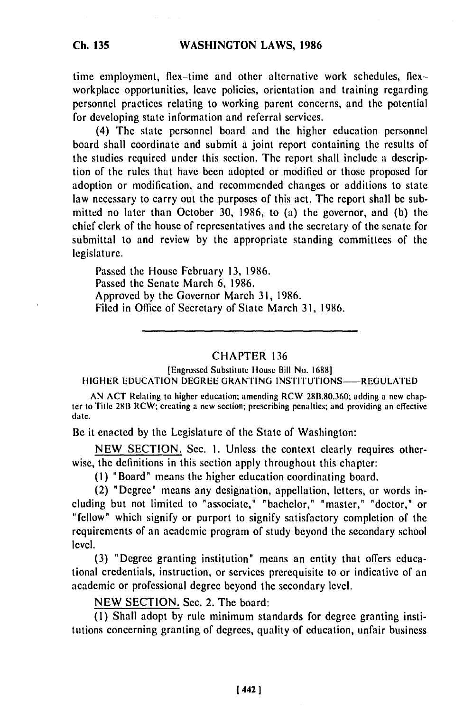time employment, flex-time and other alternative work schedules, flexworkplace opportunities, leave policies, orientation and training regarding personnel practices relating to working parent concerns, and the potential for developing state information and referral services.

(4) The state personnel board and the higher education personnel board shall coordinate and submit a joint report containing the results of the studies required under this section. The report shall include a description of the rules that have been adopted or modified or those proposed for adoption or modification, and recommended changes or additions to state law necessary to carry out the purposes of this act. The report shall **be** submitted no later than October **30,** 1986, to (a) the governor, and (b) the chief clerk of the house of representatives and the secretary of the senate for submittal to and review **by** the appropriate standing committees of the legislature.

Passed the House February 13, 1986. Passed the Senate March 6, 1986. Approved **by** the Governor March **31,** 1986. Filed in Office of Secretary of State March 31, 1986.

## CHAPTER 136

[Engrossed Substitute House Bill No. **16881** HIGHER EDUCATION DEGREE GRANTING INSTITUTIONS--REGULATED

AN **ACT** Relating to higher education, amending RCW 28B.80.360; adding a new chapter to Title 28B RCW; creating a new section; prescribing penalties; and providing an effective date.

Be it enacted by the Legislature of the State of Washington:

NEW SECTION. Sec. i. Unless the context clearly requires otherwise, the definitions in this section apply throughout this chapter:

(I) "Board" means the higher education coordinating board.

(2) "Degree" means any designation, appellation, letters, or words including but not limited to "associate," "bachelor," "master," "doctor," or "fellow" which signify or purport to signify satisfactory completion of the requirements of an academic program of study beyond the secondary school level.

(3) "Degree granting institution" means an entity that offers educational credentials, instruction, or services prerequisite to or indicative of an academic or professional degree beyond the secondary level.

NEW SECTION. Sec. 2. The board:

(1) Shall adopt by rule minimum standards for degree granting institutions concerning granting of degrees, quality of education, unfair business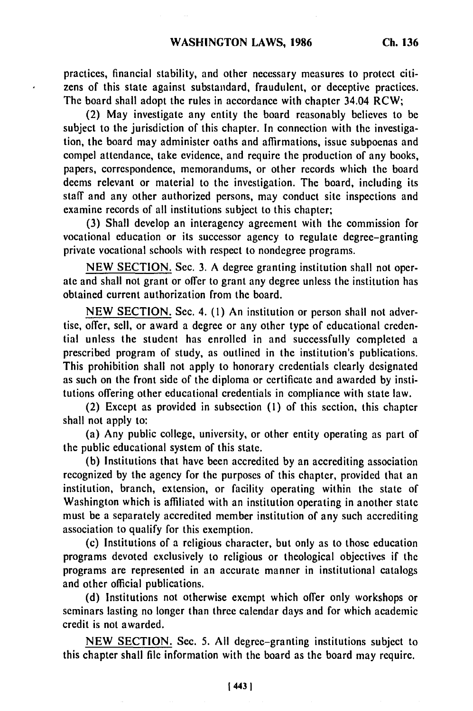practices, financial stability, and other necessary measures to protect citizens of this state against substandard, fraudulent, or deceptive practices. The board shall adopt the rules in accordance with chapter 34.04 RCW;

(2) May investigate any entity the board reasonably believes to be subject to the jurisdiction of this chapter. In connection with the investigation, the board may administer oaths and affirmations, issue subpoenas and compel attendance, take evidence, and require the production of any books, papers, correspondence, memorandums, or other records which the board deems relevant or material to the investigation. The board, including its staff and any other authorized persons, may conduct site inspections and examine records of all institutions subject to this chapter;

(3) Shall develop an interagency agreement with the commission for vocational education or its successor agency to regulate degree-granting private vocational schools with respect to nondegree programs.

NEW SECTION. Sec. 3. A degree granting institution shall not operate and shall not grant or offer to grant any degree unless the institution has obtained current authorization from the board.

NEW SECTION. Sec. 4. (1) An institution or person shall not advertise, offer, sell, or award a degree or any other type of educational credential unless the student has enrolled in and successfully completed a prescribed program of study, as outlined in the institution's publications. This prohibition shall not apply to honorary credentials clearly designated as such on the front side of the diploma or certificate and awarded by institutions offering other educational credentials in compliance with state law.

(2) Except as provided in subsection **(1)** of this section, this chapter shall not apply to:

(a) Any public college, university, or other entity operating as part of the public educational system of this state.

(b) Institutions that have been accredited by an accrediting association recognized by the agency for the purposes of this chapter, provided that an institution, branch, extension, or facility operating within the state of Washington which is affiliated with an institution operating in another state must be a separately accredited member institution of any such accrediting association to qualify for this exemption.

(c) Institutions of a religious character, but only as to those education programs devoted exclusively to religious or theological objectives if the programs are represented in an accurate manner in institutional catalogs and other official publications.

(d) Institutions not otherwise exempt which offer only workshops or seminars lasting no longer than three calendar days and for which academic credit is not awarded.

NEW SECTION. Sec. 5. All degree-granting institutions subject to this chapter shall file information with the board as the board may require.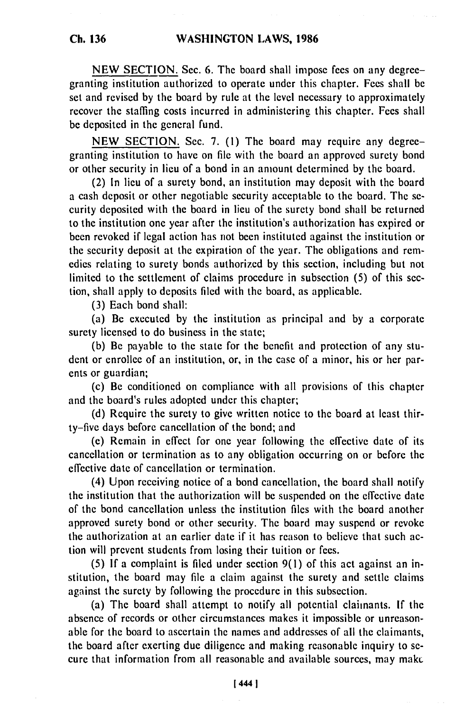NEW SECTION. Sec. 6. The board shall impose fees on any degreegranting institution authorized to operate under this chapter. Fees shall be set and revised by the board by rule at the level necessary to approximately recover the staffing costs incurred in administering this chapter. Fees shall be deposited in the general fund.

NEW SECTION. Sec. 7. (1) The board may require any degreegranting institution to have on file with the board an approved surety bond or other security in lieu of a bond in an amount determined by the board.

(2) In lieu of a surety bond, an institution may deposit with the board a cash deposit or other negotiable security acceptable to the board. The security deposited with the board in lieu of the surety bond shall be returned to the institution one year after the institution's authorization has expired or been revoked if legal action has not been instituted against the institution or the security deposit at the expiration of the year. The obligations and remedies relating to surety bonds authorized by this section, including but not limited to the settlement of claims procedure in subsection (5) of this section, shall apply to deposits filed with the board, as applicable.

(3) Each bond shall:

(a) Be executed by the institution as principal and by a corporate surety licensed to do business in the state;

(b) Be payable to the state for the benefit and protection of any student or enrollee of an institution, or, in the case of a minor, his or her parents or guardian;

(c) Be conditioned on compliance with all provisions of this chapter and the board's rules adopted under this chapter;

(d) Require the surety to give written notice to the board at least thirty-five days before cancellation of the bond; and

(e) Remain in effect for one year following the effective date of its cancellation or termination as to any obligation occurring on or before the effective date of cancellation or termination.

(4) Upon receiving notice of a bond cancellation, the board shall notify the institution that the authorization will be suspended on the effective date of the bond cancellation unless the institution files with the board another approved surety bond or other security. The board may suspend or revoke the authorization at an earlier date if it has reason to believe that such action will prevent students from losing their tuition or fees.

(5) If a complaint is filed under section 9(l) of this act against an institution, the board may file a claim against the surety and settle claims against the surety by following the procedure in this subsection.

(a) The board shall attempt to notify all potential claimants. If the absence of records or other circumstances makes it impossible or unreasonable for the board to ascertain the names and addresses of all the claimants, the board after exerting due diligence and making reasonable inquiry to secure that information from all reasonable and available sources, may makc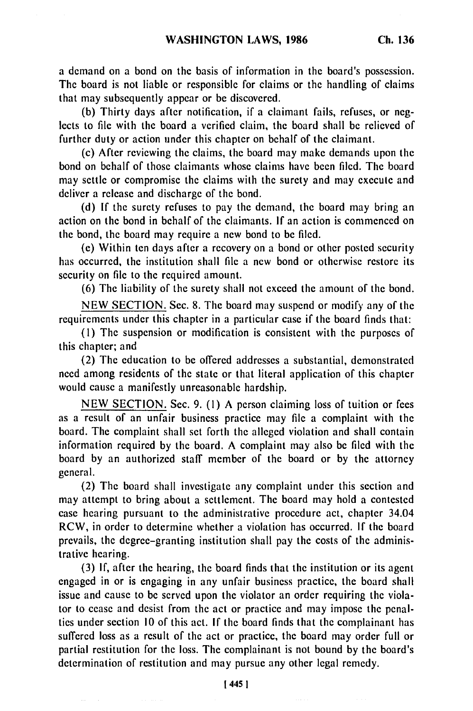a demand on a bond on the basis of information in the board's possession. The board is not liable or responsible for claims or the handling of claims that may subsequently appear or be discovered.

(b) Thirty days after notification, if a claimant fails, refuses, or neglects to file with the board a verified claim, the board shall be relieved of further duty or action under this chapter on behalf of the claimant.

(c) After reviewing the claims, the board may make demands upon the bond on behalf of those claimants whose claims have been filed. The board may settle or compromise the claims with the surety and may execute and deliver a release and discharge of the bond.

(d) If the surety refuses to pay the demand, the board may bring an action on the bond in behalf of the claimants. If an action is commenced on the bond, the board may require a new bond to be filed.

(e) Within ten days after a recovery on a bond or other posted security has occurred, the institution shall file a new bond or otherwise restore its security on file to the required amount.

(6) The liability of the surety shall not exceed the amount of the bond.

NEW SECTION. Sec. 8. The board may suspend or modify any of the requirements under this chapter in a particular case if the board finds that:

**(1)** The suspension or modification is consistent with the purposes of this chapter; and

(2) The education to be offered addresses a substantial, demonstrated need among residents of the state or that literal application of this chapter would cause a manifestly unreasonable hardship.

NEW SECTION. Sec. 9. **(1)** A person claiming loss of tuition or fees as a result of an unfair business practice may file a complaint with the board. The complaint shall set forth the alleged violation and shall contain information required by the board. A complaint may also be filed with the board by an authorized staff member of the board or by the attorney general.

(2) The board shall investigate any complaint under this section and may attempt to bring about a settlement. The board may hold a contested case hearing pursuant to the administrative procedure act, chapter 34.04 RCW, in order to determine whether a violation has occurred. If the board prevails, the degree-granting institution shall pay the costs of the administrative hearing.

(3) If, after the hearing, the board finds that the institution or its agent engaged in or is engaging in any unfair business practice, the board shall issue and cause to be served upon the violator an order requiring the violator to cease and desist from the act or practice and may impose the penalties under section 10 of this act. If the board finds that the complainant has suffered loss as a result of the act or practice, the board may order full or partial restitution for the loss. The complainant is not bound by the board's determination of restitution and may pursue any other legal remedy.

1 **4451**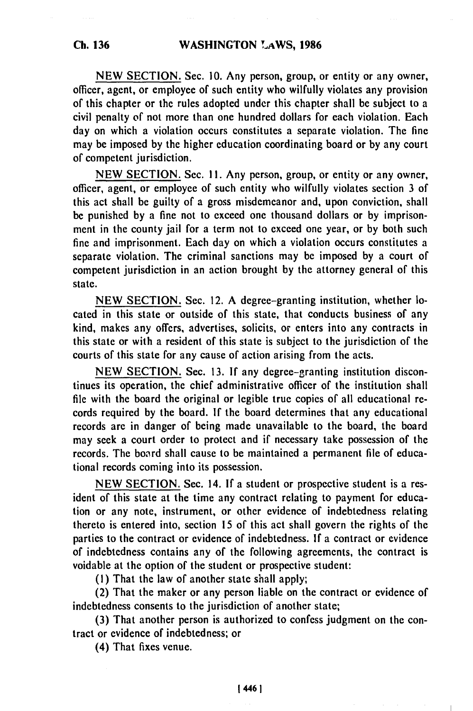NEW SECTION. Sec. **10.** Any person, group, or entity or any owner, officer, agent, or employee of such entity who wilfully violates any provision of this chapter or the rules adopted under this chapter shall be subject to a civil penalty of not more than one hundred dollars for each violation. Each day on which a violation occurs constitutes a separate violation. The fine may be imposed by the higher education coordinating board or by any court of competent jurisdiction.

NEW SECTION. Sec. **1I.** Any person, group, or entity or any owner, officer, agent, or employee of such entity who wilfully violates section 3 of this act shall be guilty of a gross misdemeanor and, upon conviction, shall be punished by a fine not to exceed one thousand dollars or by imprisonment in the county jail for a term not to exceed one year, or by both such fine and imprisonment. Each day on which a violation occurs constitutes a separate violation. The criminal sanctions may be imposed by a court of competent jurisdiction in an action brought by the attorney general of this state.

NEW SECTION. Sec. 12. A degree-granting institution, whether located in this state or outside of this state, that conducts business of any kind, makes any offers, advertises, solicits, or enters into any contracts in this state or with a resident of this state is subject to the jurisdiction of the courts of this state for any cause of action arising from the acts.

NEW SECTION. Sec. 13. If any degree-granting institution discontinues its operation, the chief administrative officer of the institution shall file with the board the original or legible true copies of all educational records required by the board. If the board determines that any educational records are in danger of being made unavailable to the board, the board may seek a court order to protect and if necessary take possession of the records. The boord shall cause to be maintained a permanent file of educational records coming into its possession.

NEW SECTION. Sec. 14. If a student or prospective student is a resident of this state at the time any contract relating to payment for education or any note, instrument, or other evidence of indebtedness relating thereto is entered into, section 15 of this act shall govern the rights of the parties to the contract or evidence of indebtedness. **If** a contract or evidence of indebtedness contains any of the following agreements, the contract is voidable at the option of the student or prospective student:

(I) That the law of another state shall apply;

(2) That the maker or any person liable on the contract or evidence of indebtedness consents to the jurisdiction of another state;

**(3)** That another person is authorized to confess judgment on the contract or evidence of indebtedness; or

(4) That fixes venue.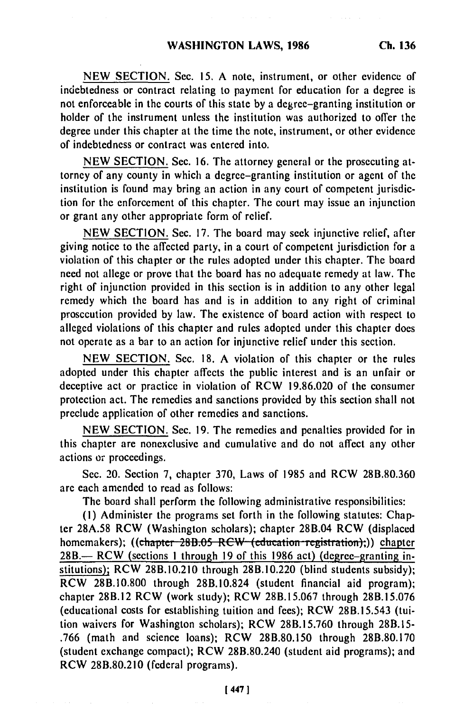NEW SECTION. Sec. **15,** A note, instrument, or other evidence of indebtedness or contract relating to payment for education for a degree is not enforceable in the courts of this state by a degree-granting institution or holder of the instrument unless the institution was authorized to offer the degree under this chapter at the time the note, instrument, or other evidence of indebtedness or contract was entered into.

NEW SECTION. Sec. 16. The attorney general or the prosecuting attorney of any county in which a degree-granting institution or agent of the institution is found may bring an action in any court of competent jurisdiction for the enforcement of this chapter. The court may issue an injunction or grant any other appropriate form of relief.

NEW SECTION. Sec. 17. The board may seek injunctive relief, after giving notice to the affected party, in a court of competent jurisdiction for a violation of this chapter or the rules adopted under this chapter. The board need not allege or prove that the board has no adequate remedy at law. The right of injunction provided in this section is in addition to any other legal remedy which the board has and is in addition to any right of criminal prosecution provided by law. The existence of board action with respect to alleged violations of this chapter and rules adopted under this chapter does not operate as a bar to an action for injunctive relief under this section.

NEW SECTION. Sec. 18. A violation of this chapter or the rules adopted under this chapter affects the public interest and is an unfair or deceptive act or practice in violation of RCW 19.86.020 of the consumer protection act. The remedies and sanctions provided by this section shall not preclude application of other remedies and sanctions.

NEW SECTION. Sec. 19. The remedies and penalties provided for in this chapter are nonexclusive and cumulative and do not affect any other actions or proceedings.

Sec. 20. Section 7, chapter 370, Laws of 1985 and RCW 28B.80.360 are each amended to read as follows:

The board shall perform the following administrative responsibilities:

(I) Administer the programs set forth in the following statutes: Chapter 28A.58 RCW (Washington scholars); chapter 28B.04 RCW (displaced homemakers); ((chapter 28B.05 RCW (education registration);)) chapter 28B.- RCW (sections 1 through 19 of this 1986 act) (degree-granting institutions); RCW 28B.10.210 through 28B.10.220 (blind students subsidy); RCW 28B.i0.800 through 28B.10.824 (student financial aid program); chapter 28B.12 RCW (work study); RCW 28B.15.067 through 28B.15.076 (educational costs for establishing tuition and fees); RCW 28B.15.543 (tuition waivers for Washington scholars); RCW 28B.15.760 through 28B.15- .766 (math and science loans); RCW 28B.80.150 through 28B.80.170 (student exchange compact); RCW 28B.80.240 (student aid programs); and RCW 28B.80.210 (federal programs).